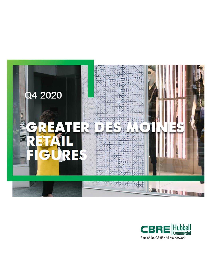

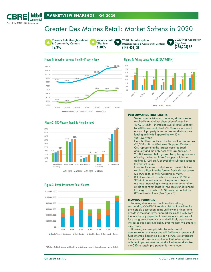

# Greater Des Moines Retail: Market Softens in 2020



#### Figure 1: Suburban Vacancy Trend by Property Type



# Figure 4: Asking Lease Rates (\$/SF/YR/NNN)



#### Figure 2: CBD Vacancy Trend By Neighborhood



#### Figure 3: Retail Investment Sales Volume



\*Dallas & Polk County/Fleet Farm & Sportsman's Warehouse not in totals

#### **PERFORMANCE HIGHLIGHTS**

- Stalled user activity and mounting store closures resulted in annual net absorption of negative 437,297 sq.ft. – increasing overall retail vacancy by 230 bps annually to 8.9%. Vacancy increased across all property types and submarkets as new leasing activity fell approximately 33% year-over-year.
- Floor & Décor backfilled the former Gordmans box (78,388 sq.ft.) at Westowne Shopping Center in Q4, representing the largest lease reported annually and the only deal over 25,000 sq.ft. in 2020. However, Q4 big-box absorption gains were offset by the former Price Chopper in Johnston adding 67,051 sq.ft. of available sublease space to the market in Q4.
- lowa Realty leased and plans to consolidate their existing offices into the former Fresh Market space (23,000 sq.ft.) at Mills Crossing in WDM.
- Retail investment activity was robust in 2020, up 30% in total volume from the previous 5-year average. Increasingly strong investor demand for single-tenant net-lease (STNL) assets underpinned the surge in activity as STNL sales accounted for 83% of total volume (See Figure 3).

#### **MOVING FORWARD**

 Looming closures and continued uncertainty surrounding COVID-19 vaccine distribution will make any notable absorption gains unlikely and hinder rent growth in the near-term. Submarkets like the CBD core that are heavily dependent on office lunch patrons will face the greatest headwinds and will likely experience increased sublease availability over the next two quarters as a result.

 However, we are optimistic the widespread administration of the vaccine will facilitate a recovery of fundamentals beginning as soon as Q3. We anticipate the improved consumer sentiment that follows paired with pent up consumer demand will allow markets like the CBD to regain pre-pandemic momentum.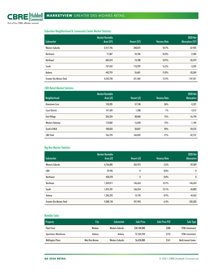Suburban Neighborhood & Community Center Market Statistics

|                                 | <b>Market Rentable</b> |             |                     | <b>2020 Net</b>        |
|---------------------------------|------------------------|-------------|---------------------|------------------------|
| <b>Submarket</b>                | Area (SF)              | Vacant (SF) | <b>Vacancy Rate</b> | <b>Absorption (SF)</b> |
| <b>Western Suburbs</b>          | 2,317,196              | 248,072     | 10.7%               | $-67,925$              |
| Northwest                       | 71,887                 | 23,704      | 33.0%               | $-9,286$               |
| <b>Northeast</b>                | 683,474                | 74,708      | 10.9%               | $-33,479$              |
| South                           | 727,432                | 118,299     | 16.3%               | $-3,392$               |
| Ankeny                          | 442,759                | 56,681      | 12.8%               | $-33,369$              |
| <b>Greater Des Moines Total</b> | 4,242,748              | 521,464     | 12.3%               | $-147,451$             |

### CBD Retail Market Statistics

| <b>Neighborhood</b>   | <b>Market Rentable</b><br>Area (sf) | Vacant (sf) | <b>Vacancy Rate</b> | <b>2020 Net</b><br><b>Absorption</b> |
|-----------------------|-------------------------------------|-------------|---------------------|--------------------------------------|
| Downtown Core         | 158,205                             | 57,740      | 36%                 | $-5,321$                             |
| <b>Court District</b> | 141,439                             | 1,508       | $1\%$               | 4,515                                |
| <b>East Village</b>   | 256,324                             | 38,868      | 15%                 | $-16,194$                            |
| Western Gateway       | 110,802                             | 16,690      | 15%                 | $-1,184$                             |
| South of MLK          | 100,023                             | 50,037      | 50%                 | $-24,553$                            |
| <b>CBD Total</b>      | 766,793                             | 164,843     | 21%                 | $-42,737$                            |

# Big Box Market Statistics

|                                 | <b>Market Rentable</b> |             |                     | <b>2020 Net</b> |
|---------------------------------|------------------------|-------------|---------------------|-----------------|
| Submarket                       | Area (sf)              | Vacant (sf) | <b>Vacancy Rate</b> | Absorption      |
| <b>Western Suburbs</b>          | 4,736,085              | 265,975     | 5.6%                | $-99,589$       |
| CBD                             | 59,996                 | 0           | $0.0\%$             | 0               |
| <b>Northwest</b>                | 450,270                | 0           | $0.0\%$             | $\bf{0}$        |
| <b>Northeast</b>                | 1,369,811              | 146,694     | 10.7%               | $-146,694$      |
| South                           | 1,375,701              | 166,554     | 12.1%               | $-34,882$       |
| Ankeny                          | 1,396,295              | 12,770      | 0.9%                | 44,962          |
| <b>Greater Des Moines Total</b> | 9,388,158              | 591,993     | 6.3%                | $-236,203$      |

# Notable Sales

| Property                | Citv                   | <b>Submarket</b>       | Sale Price   | <b>Sale Price PSF</b> | Sale Type              |
|-------------------------|------------------------|------------------------|--------------|-----------------------|------------------------|
| <b>Fleet Farm</b>       | Waukee                 | <b>Western Suburbs</b> | \$38,100,000 | \$200                 | <b>STNL Investment</b> |
| Sportman's Warehouse    | Ankenv                 | Ankeny                 | S7.534.250   | \$152                 | <b>STNL Investment</b> |
| <b>Wellington Plaza</b> | <b>West Des Moines</b> | <b>Western Suburbs</b> | \$6,450,000  | \$161                 | Multi-tenant Center    |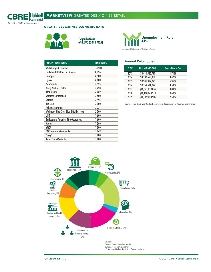

**GREATER DES MOINES ECONOMIC DATA**



Population **644,590 (2018 MSA)**



| <b>LARGEST EMPLOYERS</b>                    | <b>EMPLOYEES</b> |
|---------------------------------------------|------------------|
| Wells Fargo & Company                       | 14,500           |
| UnityPoint Health - Des Moines              | 8,026            |
| Principal                                   | 6,500            |
| Hy-vee                                      | 6,400            |
| <b>Nationwide</b>                           | 4,525            |
| <b>Mercy Medical Center</b>                 | 4,228            |
| John Deere                                  | 3,089            |
| <b>Vermeer Corporation</b>                  | 2,500            |
| Corteva                                     | 2,495            |
| <b>JBS USA</b>                              | 2,300            |
| Pella Corporation                           | 2,224            |
| Wellmark Blue Cross Blue Shield of Iowa     | 2,000            |
| <b>UPS</b>                                  | 1,600            |
| <b>Bridgestone Americas Tire Operations</b> | 1,600            |
| Mercer                                      | 1,560            |
| YMCA                                        | 1,300            |
| <b>EMC Insurance Companies</b>              | 1,269            |
| Casey's                                     | 1,200            |
| Tyson Fresh Meats, Inc.                     | 1.200            |

#### Annual Retail Sales

| <b>YEAR</b> | <b>DES MOINES MSA</b> | Year - Over - Year |
|-------------|-----------------------|--------------------|
| 2013        | \$8,411,526,797       | 1.71%              |
| 2014        | \$8,787,650,388       | 4.47%              |
| 2015        | \$9,346,317,273       | 6.36%              |
| 2016        | \$9,769,581,274       | 4.53%              |
| 2017        | \$10,071,879,055      | 3.09%              |
| 2018        | \$10,128,863,313      | 0.60%              |
| 2019        | \$10,382,430,906      | 2.50%              |

Source: Iowa Retail and Use Tax Report, Iowa Department of Revenue and Finance



Greater Des Moines Partnership Bureau of Economic Analysis US Bureau of Labor Statistics - December 2018